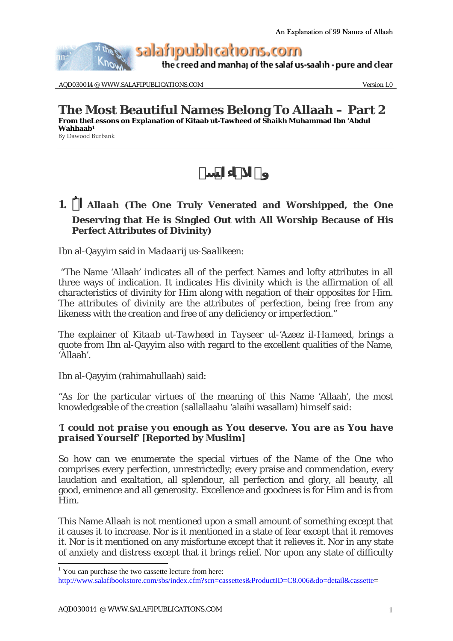

AQD030014 @ WWW.SALAFIPUBLICATIONS.COM Version 1.0

**The Most Beautiful Names Belong To Allaah – Part 2 From theLessons on Explanation of Kitaab ut-Tawheed of Shaikh Muhammad Ibn 'Abdul Wahhaab1** By Dawood Burbank

## **1.** *Allaah* (The One Truly Venerated and Worshipped, the One **Deserving that He is Singled Out with All Worship Because of His Perfect Attributes of Divinity)**

Ibn al-Qayyim said in *Madaarij us-Saalikeen:*

 "The Name 'Allaah' indicates all of the perfect Names and lofty attributes in all three ways of indication. It indicates His divinity which is the affirmation of all characteristics of divinity for Him along with negation of their opposites for Him. The attributes of divinity are the attributes of perfection, being free from any likeness with the creation and free of any deficiency or imperfection."

The explainer of *Kitaab ut-Tawheed* in *Tayseer ul-'Azeez il-Hameed*, brings a quote from Ibn al-Qayyim also with regard to the excellent qualities of the Name, 'Allaah'.

Ibn al-Qayyim (rahimahullaah) said:

"As for the particular virtues of the meaning of this Name 'Allaah', the most knowledgeable of the creation (sallallaahu 'alaihi wasallam) himself said:

#### '*I could not praise you enough as You deserve. You are as You have praised Yourself'* **[Reported by Muslim]**

So how can we enumerate the special virtues of the Name of the One who comprises every perfection, unrestrictedly; every praise and commendation, every laudation and exaltation, all splendour, all perfection and glory, all beauty, all good, eminence and all generosity. Excellence and goodness is for Him and is from Him.

This Name Allaah is not mentioned upon a small amount of something except that it causes it to increase. Nor is it mentioned in a state of fear except that it removes it. Nor is it mentioned on any misfortune except that it relieves it. Nor in any state of anxiety and distress except that it brings relief. Nor upon any state of difficulty

 $\overline{a}$ 

<sup>&</sup>lt;sup>1</sup> You can purchase the two cassette lecture from here:

http://www.salafibookstore.com/sbs/index.cfm?scn=cassettes&ProductID=C8.006&do=detail&cassette=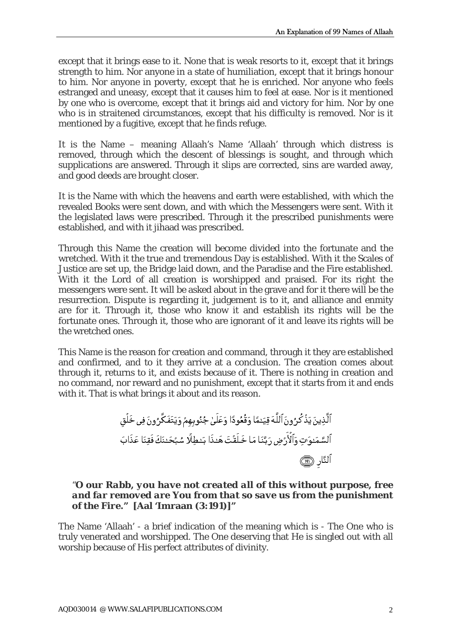except that it brings ease to it. None that is weak resorts to it, except that it brings strength to him. Nor anyone in a state of humiliation, except that it brings honour to him. Nor anyone in poverty, except that he is enriched. Nor anyone who feels estranged and uneasy, except that it causes him to feel at ease. Nor is it mentioned by one who is overcome, except that it brings aid and victory for him. Nor by one who is in straitened circumstances, except that his difficulty is removed. Nor is it mentioned by a fugitive, except that he finds refuge.

It is the Name – meaning Allaah's Name 'Allaah' through which distress is removed, through which the descent of blessings is sought, and through which supplications are answered. Through it slips are corrected, sins are warded away, and good deeds are brought closer.

It is the Name with which the heavens and earth were established, with which the revealed Books were sent down, and with which the Messengers were sent. With it the legislated laws were prescribed. Through it the prescribed punishments were established, and with it jihaad was prescribed.

Through this Name the creation will become divided into the fortunate and the wretched. With it the true and tremendous Day is established. With it the Scales of Justice are set up, the Bridge laid down, and the Paradise and the Fire established. With it the Lord of all creation is worshipped and praised. For its right the messengers were sent. It will be asked about in the grave and for it there will be the resurrection. Dispute is regarding it, judgement is to it, and alliance and enmity are for it. Through it, those who know it and establish its rights will be the fortunate ones. Through it, those who are ignorant of it and leave its rights will be the wretched ones.

This Name is the reason for creation and command, through it they are established and confirmed, and to it they arrive at a conclusion. The creation comes about through it, returns to it, and exists because of it. There is nothing in creation and no command, nor reward and no punishment, except that it starts from it and ends with it. That is what brings it about and its reason.

#### *"O our Rabb, you have not created all of this without purpose, free and far removed are You from that so save us from the punishment of the Fire."* **[Aal 'Imraan (3:191)]"**

The Name 'Allaah' - a brief indication of the meaning which is - The One who is truly venerated and worshipped. The One deserving that He is singled out with all worship because of His perfect attributes of divinity.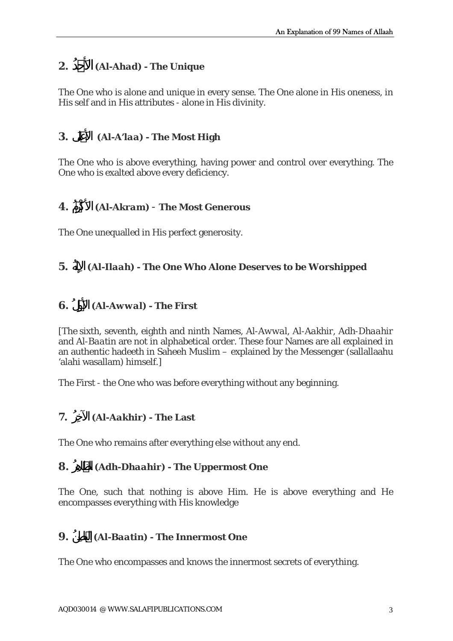### **2.** ُدحَالأ*) Al-Ahad) -* **The Unique**

The One who is alone and unique in every sense. The One alone in His oneness, in His self and in His attributes - alone in His divinity.

### **3.** لَىعَالأ*) Al-A'laa) -* **The Most High**

The One who is above everything, having power and control over everything. The One who is exalted above every deficiency.

### **4.** ُمكْرَالأ*) Al-Akram)* - **The Most Generous**

The One unequalled in His perfect generosity.

#### **5.** *(Al-Ilaah)* - The One Who Alone Deserves to be Worshipped

### **6.** لُوَالأ*) Al-Awwal) -* **The First**

[The sixth, seventh, eighth and ninth Names, *Al-Awwal, Al-Aakhir, Adh-Dhaahir*  and *Al-Baatin* are not in alphabetical order. These four Names are all explained in an authentic hadeeth in Saheeh Muslim – explained by the Messenger (sallallaahu 'alahi wasallam) himself.]

The First - the One who was before everything without any beginning.

#### **7.** ُرِالآخ*) Al-Aakhir) -* **The Last**

The One who remains after everything else without any end.

#### **8.** *(Adh-Dhaahir)* - The Uppermost One

The One, such that nothing is above Him. He is above everything and He encompasses everything with His knowledge

#### **9.** ُنِاطالب*) Al-Baatin) -* **The Innermost One**

The One who encompasses and knows the innermost secrets of everything.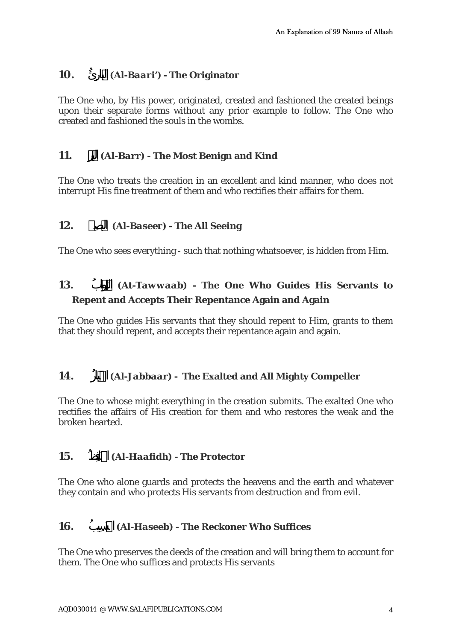#### **10.** ُئِارالب*) Al-Baari')* **- The Originator**

The One who, by His power, originated, created and fashioned the created beings upon their separate forms without any prior example to follow. The One who created and fashioned the souls in the wombs.

### **11.** *(Al-Barr)* - The Most Benign and Kind

The One who treats the creation in an excellent and kind manner, who does not interrupt His fine treatment of them and who rectifies their affairs for them.

### **12.** يرِصالب*) Al-Baseer) -* **The All Seeing**

The One who sees everything - such that nothing whatsoever, is hidden from Him.

# **13.** *(At-Tawwaab)* - The One Who Guides His Servants to **Repent and Accepts Their Repentance Again and Again**

The One who guides His servants that they should repent to Him, grants to them that they should repent, and accepts their repentance again and again.

#### **14.** *(Al-Jabbaar)* - The Exalted and All Mighty Compeller

The One to whose might everything in the creation submits. The exalted One who rectifies the affairs of His creation for them and who restores the weak and the broken hearted.

#### **15.** ظُِالحَاف*) Al-Haafidh) -* **The Protector**

The One who alone guards and protects the heavens and the earth and whatever they contain and who protects His servants from destruction and from evil.

#### **16.** ُيبِالحَس*) Al-Haseeb) -* **The Reckoner Who Suffices**

The One who preserves the deeds of the creation and will bring them to account for them. The One who suffices and protects His servants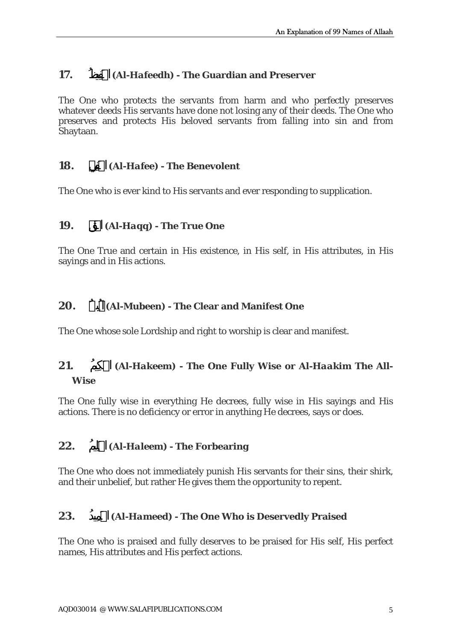#### **17.** *(Al-Hafeedh)* **- The Guardian and Preserver**

The One who protects the servants from harm and who perfectly preserves whatever deeds His servants have done not losing any of their deeds. The One who preserves and protects His beloved servants from falling into sin and from Shaytaan.

#### **18.** يِالحَف*) Al-Hafee) -* **The Benevolent**

The One who is ever kind to His servants and ever responding to supplication.

#### **19.** الحَق*) Al-Haqq) -* **The True One**

The One True and certain in His existence, in His self, in His attributes, in His sayings and in His actions.

#### **20.** ُينِالمُب*) Al-Mubeen) -* **The Clear and Manifest One**

The One whose sole Lordship and right to worship is clear and manifest.

## **21.** ُيمِالحَك*) Al-Hakeem) -* **The One Fully Wise or** *Al-Haakim* **The All-Wise**

The One fully wise in everything He decrees, fully wise in His sayings and His actions. There is no deficiency or error in anything He decrees, says or does.

#### **22.** ُيمِالحَل*) Al-Haleem) -* **The Forbearing**

The One who does not immediately punish His servants for their sins, their shirk, and their unbelief, but rather He gives them the opportunity to repent.

#### **23.** ُيدِالحَم*) Al-Hameed) -* **The One Who is Deservedly Praised**

The One who is praised and fully deserves to be praised for His self, His perfect names, His attributes and His perfect actions.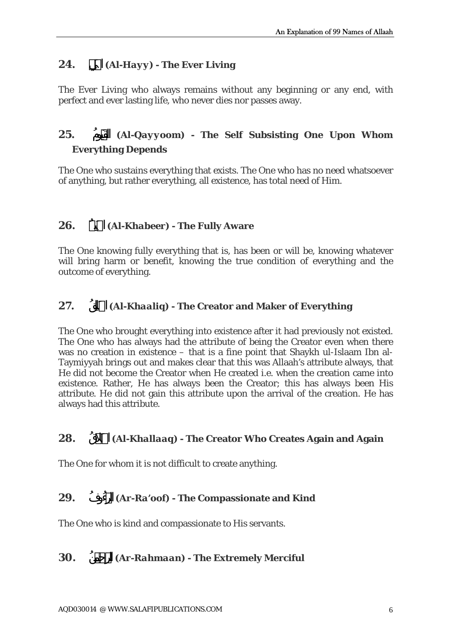## **24.** الحَي*) Al-Hayy) -* **The Ever Living**

The Ever Living who always remains without any beginning or any end, with perfect and ever lasting life, who never dies nor passes away.

# **25.** ُومالقَي*) Al-Qayyoom) -* **The Self Subsisting One Upon Whom Everything Depends**

The One who sustains everything that exists. The One who has no need whatsoever of anything, but rather everything, all existence, has total need of Him.

#### **26.** ُيرِالخَب*) Al-Khabeer) -* **The Fully Aware**

The One knowing fully everything that is, has been or will be, knowing whatever will bring harm or benefit, knowing the true condition of everything and the outcome of everything.

### **27.** ُقِالخَال*) Al-Khaaliq) -* **The Creator and Maker of Everything**

The One who brought everything into existence after it had previously not existed. The One who has always had the attribute of being the Creator even when there was no creation in existence – that is a fine point that Shaykh ul-Islaam Ibn al-Taymiyyah brings out and makes clear that this was Allaah's attribute always, that He did not become the Creator when He created i.e. when the creation came into existence. Rather, He has always been the Creator; this has always been His attribute. He did not gain this attribute upon the arrival of the creation. He has always had this attribute.

#### **28.** ُالخَلاَّق*) Al-Khallaaq) -* **The Creator Who Creates Again and Again**

The One for whom it is not difficult to create anything.

#### **29.** ُوفُءالر*) Ar-Ra'oof) -* **The Compassionate and Kind**

The One who is kind and compassionate to His servants.

#### **30.** *(Ar-Rahmaan)* **- The Extremely Merciful**